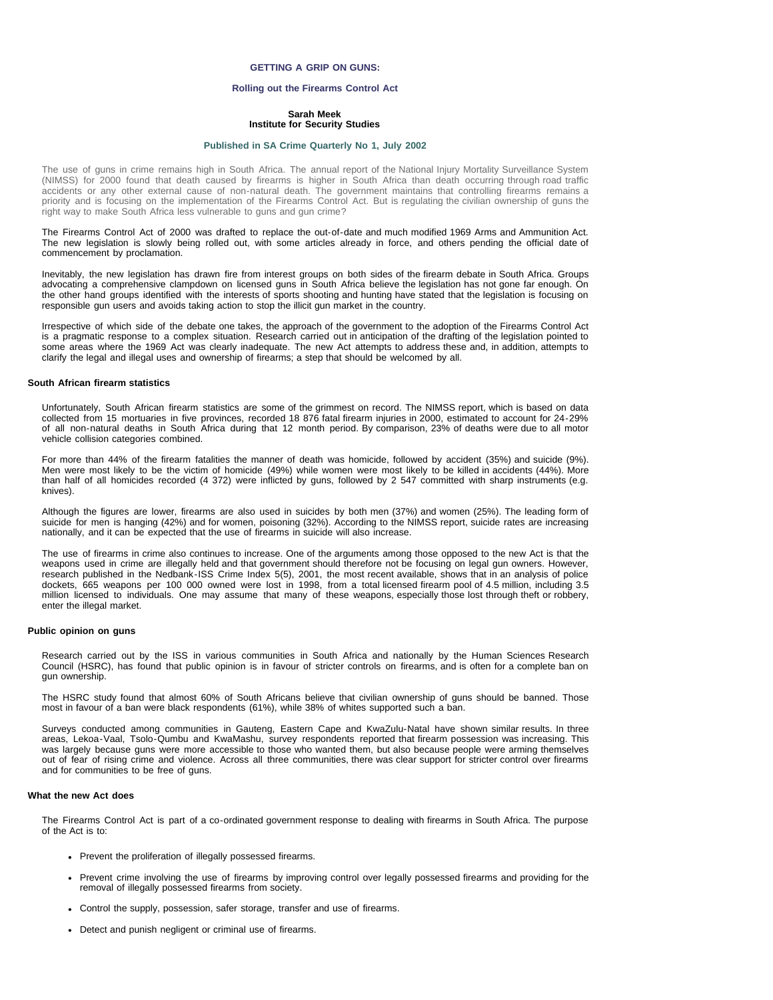# **GETTING A GRIP ON GUNS:**

## **Rolling out the Firearms Control Act**

# **Sarah Meek Institute for Security Studies**

#### **[Published in SA Crime Quarterly No 1, July 2002](file:///Volumes/ISS%20Website/issafrica.org%202007-05-31/CrimeQ/No.1/Contents.html)**

The use of guns in crime remains high in South Africa. The annual report of the National Injury Mortality Surveillance System (NIMSS) for 2000 found that death caused by firearms is higher in South Africa than death occurring through road traffic accidents or any other external cause of non-natural death. The government maintains that controlling firearms remains a priority and is focusing on the implementation of the Firearms Control Act. But is regulating the civilian ownership of guns the right way to make South Africa less vulnerable to guns and gun crime?

The Firearms Control Act of 2000 was drafted to replace the out-of-date and much modified 1969 Arms and Ammunition Act. The new legislation is slowly being rolled out, with some articles already in force, and others pending the official date of commencement by proclamation.

Inevitably, the new legislation has drawn fire from interest groups on both sides of the firearm debate in South Africa. Groups advocating a comprehensive clampdown on licensed guns in South Africa believe the legislation has not gone far enough. On the other hand groups identified with the interests of sports shooting and hunting have stated that the legislation is focusing on responsible gun users and avoids taking action to stop the illicit gun market in the country.

Irrespective of which side of the debate one takes, the approach of the government to the adoption of the Firearms Control Act is a pragmatic response to a complex situation. Research carried out in anticipation of the drafting of the legislation pointed to some areas where the 1969 Act was clearly inadequate. The new Act attempts to address these and, in addition, attempts to clarify the legal and illegal uses and ownership of firearms; a step that should be welcomed by all.

## **South African firearm statistics**

Unfortunately, South African firearm statistics are some of the grimmest on record. The NIMSS report, which is based on data collected from 15 mortuaries in five provinces, recorded 18 876 fatal firearm injuries in 2000, estimated to account for 24-29% of all non-natural deaths in South Africa during that 12 month period. By comparison, 23% of deaths were due to all motor vehicle collision categories combined.

For more than 44% of the firearm fatalities the manner of death was homicide, followed by accident (35%) and suicide (9%). Men were most likely to be the victim of homicide (49%) while women were most likely to be killed in accidents (44%). More than half of all homicides recorded (4 372) were inflicted by guns, followed by 2 547 committed with sharp instruments (e.g. knives).

Although the figures are lower, firearms are also used in suicides by both men (37%) and women (25%). The leading form of suicide for men is hanging (42%) and for women, poisoning (32%). According to the NIMSS report, suicide rates are increasing nationally, and it can be expected that the use of firearms in suicide will also increase.

The use of firearms in crime also continues to increase. One of the arguments among those opposed to the new Act is that the weapons used in crime are illegally held and that government should therefore not be focusing on legal gun owners. However, research published in the Nedbank-ISS Crime Index 5(5), 2001, the most recent available, shows that in an analysis of police dockets, 665 weapons per 100 000 owned were lost in 1998, from a total licensed firearm pool of 4.5 million, including 3.5 million licensed to individuals. One may assume that many of these weapons, especially those lost through theft or robbery, enter the illegal market.

#### **Public opinion on guns**

Research carried out by the ISS in various communities in South Africa and nationally by the Human Sciences Research Council (HSRC), has found that public opinion is in favour of stricter controls on firearms, and is often for a complete ban on gun ownership.

The HSRC study found that almost 60% of South Africans believe that civilian ownership of guns should be banned. Those most in favour of a ban were black respondents (61%), while 38% of whites supported such a ban.

Surveys conducted among communities in Gauteng, Eastern Cape and KwaZulu-Natal have shown similar results. In three areas, Lekoa-Vaal, Tsolo-Qumbu and KwaMashu, survey respondents reported that firearm possession was increasing. This was largely because guns were more accessible to those who wanted them, but also because people were arming themselves out of fear of rising crime and violence. Across all three communities, there was clear support for stricter control over firearms and for communities to be free of guns.

#### **What the new Act does**

The Firearms Control Act is part of a co-ordinated government response to dealing with firearms in South Africa. The purpose of the Act is to:

- Prevent the proliferation of illegally possessed firearms.
- Prevent crime involving the use of firearms by improving control over legally possessed firearms and providing for the removal of illegally possessed firearms from society.
- Control the supply, possession, safer storage, transfer and use of firearms.
- Detect and punish negligent or criminal use of firearms.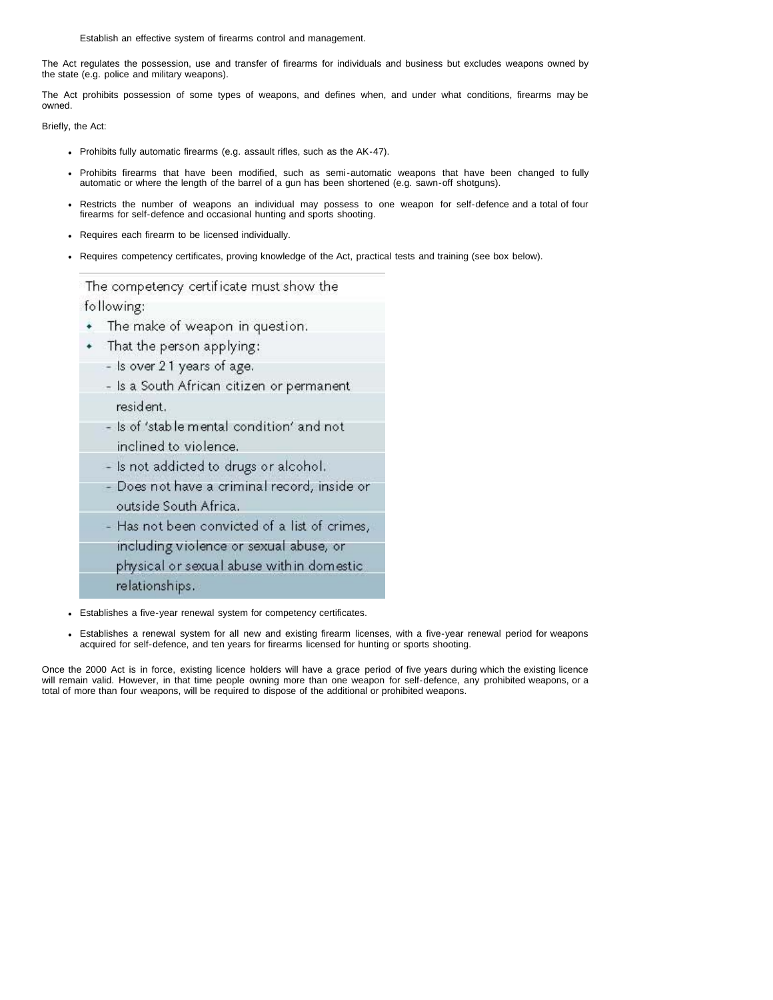Establish an effective system of firearms control and management.

The Act regulates the possession, use and transfer of firearms for individuals and business but excludes weapons owned by the state (e.g. police and military weapons).

The Act prohibits possession of some types of weapons, and defines when, and under what conditions, firearms may be owned.

Briefly, the Act:

- Prohibits fully automatic firearms (e.g. assault rifles, such as the AK-47).
- Prohibits firearms that have been modified, such as semi-automatic weapons that have been changed to fully automatic or where the length of the barrel of a gun has been shortened (e.g. sawn-off shotguns).
- Restricts the number of weapons an individual may possess to one weapon for self-defence and a total of four firearms for self-defence and occasional hunting and sports shooting.
- Requires each firearm to be licensed individually.
- Requires competency certificates, proving knowledge of the Act, practical tests and training (see box below).

The competency certificate must show the following:

- The make of weapon in question. ٠
- That the person applying:
	- Is over 21 years of age.
		- Is a South African citizen or permanent resident.
		- Is of 'stable mental condition' and not inclined to violence.
		- Is not addicted to drugs or alcohol.
	- Does not have a criminal record, inside or outside South Africa.
	- Has not been convicted of a list of crimes,
	- including violence or sexual abuse, or
	- physical or sexual abuse with in domestic
	- relationships.
- Establishes a five-year renewal system for competency certificates.  $\bullet$
- Establishes a renewal system for all new and existing firearm licenses, with a five-year renewal period for weapons acquired for self-defence, and ten years for firearms licensed for hunting or sports shooting.

Once the 2000 Act is in force, existing licence holders will have a grace period of five years during which the existing licence will remain valid. However, in that time people owning more than one weapon for self-defence, any prohibited weapons, or a total of more than four weapons, will be required to dispose of the additional or prohibited weapons.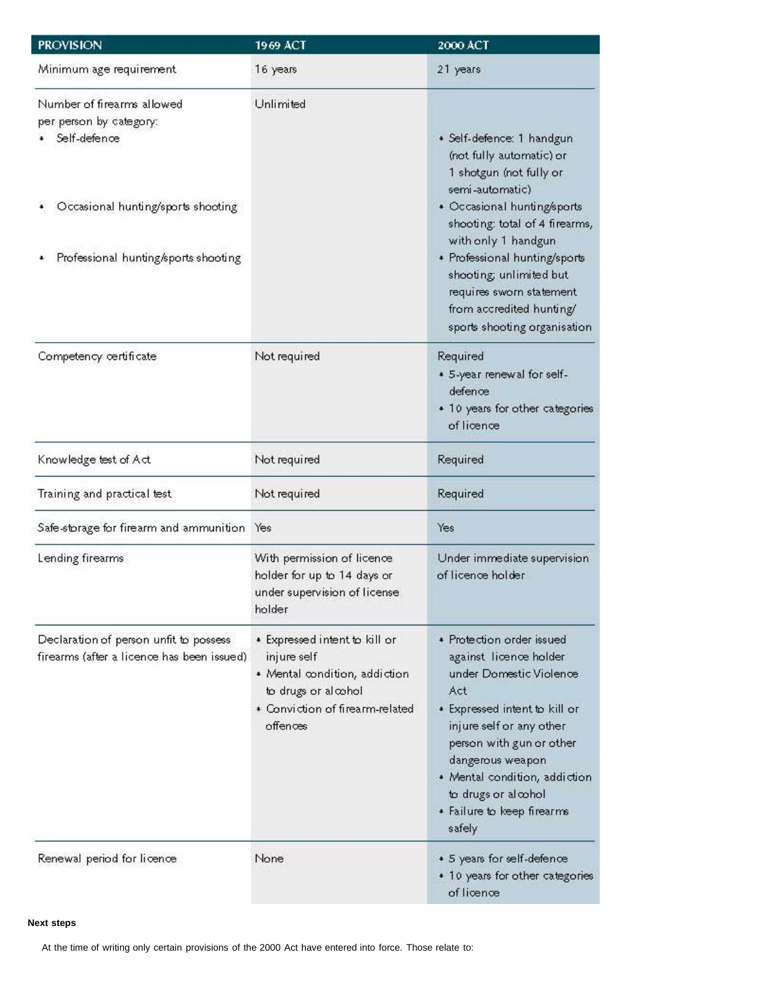| <b>PROVISION</b>                                                                     | 1969 ACT                                                                                                                                            | 2000 ACT                                                                                                                                                                                                                                                                                           |
|--------------------------------------------------------------------------------------|-----------------------------------------------------------------------------------------------------------------------------------------------------|----------------------------------------------------------------------------------------------------------------------------------------------------------------------------------------------------------------------------------------------------------------------------------------------------|
| Minimum age requirement.                                                             | 16 years                                                                                                                                            | 21 years                                                                                                                                                                                                                                                                                           |
| Number of firearms allowed<br>per person by category:<br>Self-defence                | Unlimited                                                                                                                                           | · Self-defence: 1 handgun<br>(not fully automatic) or<br>1 shotgun (not fully or<br>semi-automatic)                                                                                                                                                                                                |
| Occasional hunting/sports shooting<br>Professional hunting/sports shooting           |                                                                                                                                                     | • Occasional hunting/sports<br>shooting: total of 4 firearms,<br>with only 1 handgun<br>• Professional hunting/sports<br>shooting; unlimited but<br>requires sworn statement<br>from accredited hunting/<br>sports shooting organisation                                                           |
| Competency certificate                                                               | Not required                                                                                                                                        | Required<br>• 5-year renewal for self-<br>defence<br>• 10 years for other categories<br>of licence                                                                                                                                                                                                 |
| Knowledge test of Act                                                                | Not required                                                                                                                                        | Required                                                                                                                                                                                                                                                                                           |
| Training and practical test                                                          | Not required                                                                                                                                        | Required                                                                                                                                                                                                                                                                                           |
| Safe-storage for firearm and ammunition Yes                                          |                                                                                                                                                     | Yes                                                                                                                                                                                                                                                                                                |
| Lending firearms                                                                     | With permission of licence<br>holder for up to 14 days or<br>under supervision of license<br>holder                                                 | Under immediate supervision<br>of licence holder                                                                                                                                                                                                                                                   |
| Declaration of person unfit to possess<br>firearms (after a licence has been issued) | • Expressed intent to kill or<br>injure self<br>* Mental condition, addiction<br>to drugs or alcohol<br>• Conviction of firearm-related<br>offences | • Protection order issued<br>against licence holder<br>under Domestic Violence<br>Act<br>• Expressed intent to kill or<br>injure self or any other<br>person with gun or other<br>dangerous weapon<br>· Mental condition, addiction<br>to drugs or alcohol<br>• Failure to keep firearms<br>safely |
| Renewal period for licence                                                           | None                                                                                                                                                | • 5 years for self-defence<br>• 10 years for other categories<br>of licence                                                                                                                                                                                                                        |

# **Next steps**

At the time of writing only certain provisions of the 2000 Act have entered into force. Those relate to: